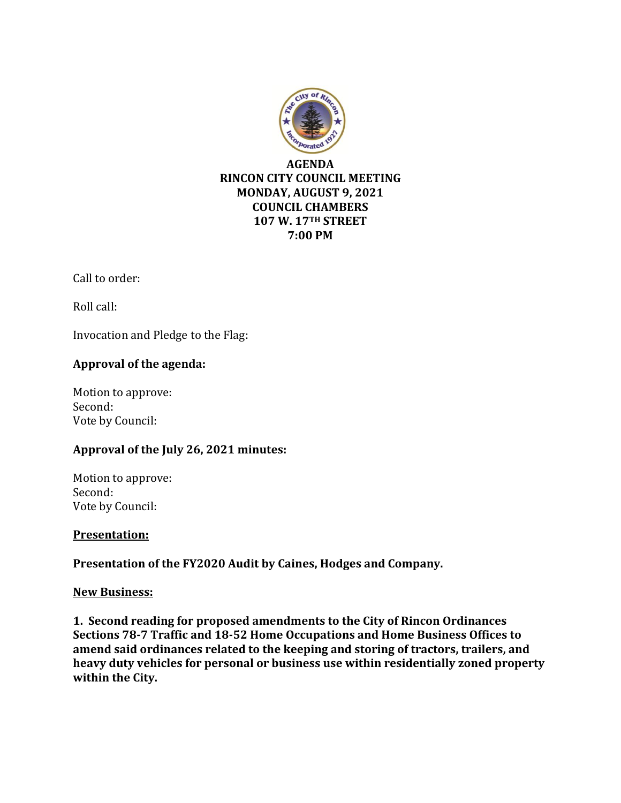

Call to order:

Roll call:

Invocation and Pledge to the Flag:

# **Approval of the agenda:**

Motion to approve: Second: Vote by Council:

### **Approval of the July 26, 2021 minutes:**

Motion to approve: Second: Vote by Council:

### **Presentation:**

**Presentation of the FY2020 Audit by Caines, Hodges and Company.**

### **New Business:**

**1. Second reading for proposed amendments to the City of Rincon Ordinances Sections 78-7 Traffic and 18-52 Home Occupations and Home Business Offices to amend said ordinances related to the keeping and storing of tractors, trailers, and heavy duty vehicles for personal or business use within residentially zoned property within the City.**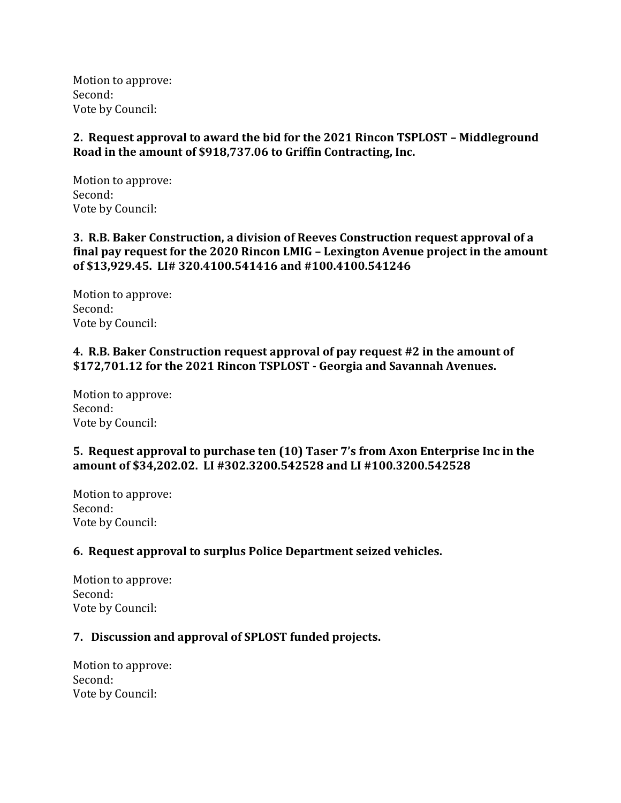Motion to approve: Second: Vote by Council:

# **2. Request approval to award the bid for the 2021 Rincon TSPLOST – Middleground Road in the amount of \$918,737.06 to Griffin Contracting, Inc.**

Motion to approve: Second: Vote by Council:

### **3. R.B. Baker Construction, a division of Reeves Construction request approval of a final pay request for the 2020 Rincon LMIG – Lexington Avenue project in the amount of \$13,929.45. LI# 320.4100.541416 and #100.4100.541246**

Motion to approve: Second: Vote by Council:

### **4. R.B. Baker Construction request approval of pay request #2 in the amount of \$172,701.12 for the 2021 Rincon TSPLOST - Georgia and Savannah Avenues.**

Motion to approve: Second: Vote by Council:

# **5. Request approval to purchase ten (10) Taser 7's from Axon Enterprise Inc in the amount of \$34,202.02. LI #302.3200.542528 and LI #100.3200.542528**

Motion to approve: Second: Vote by Council:

# **6. Request approval to surplus Police Department seized vehicles.**

Motion to approve: Second: Vote by Council:

### **7. Discussion and approval of SPLOST funded projects.**

Motion to approve: Second: Vote by Council: